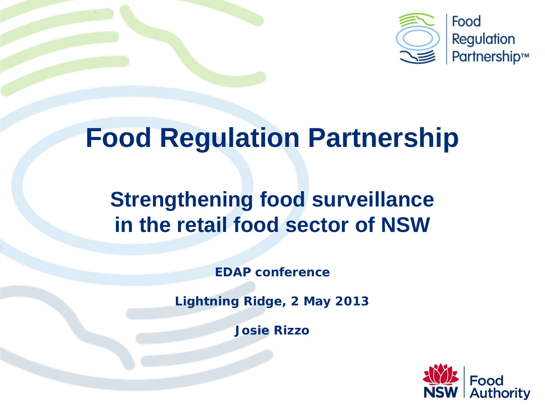

# **Food Regulation Partnership**

### **Strengthening food surveillance in the retail food sector of NSW**

*EDAP conference*

*Lightning Ridge, 2 May 2013*

*Josie Rizzo*

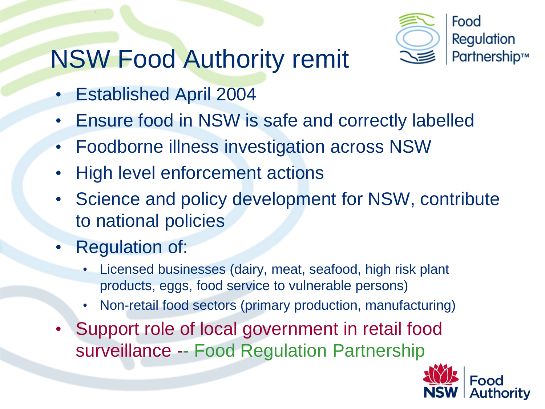## NSW Food Authority remit



- Established April 2004
- Ensure food in NSW is safe and correctly labelled
- Foodborne illness investigation across NSW
- **High level enforcement actions**
- Science and policy development for NSW, contribute to national policies
- Regulation of:
	- Licensed businesses (dairy, meat, seafood, high risk plant products, eggs, food service to vulnerable persons)
	- Non-retail food sectors (primary production, manufacturing)
- Support role of local government in retail food surveillance -- Food Regulation Partnership

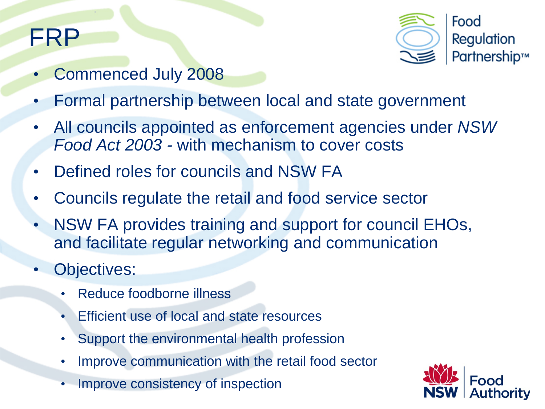### FRP



- Commenced July 2008
- Formal partnership between local and state government
- All councils appointed as enforcement agencies under *NSW Food Act 2003 -* with mechanism to cover costs
- Defined roles for councils and NSW FA
- Councils regulate the retail and food service sector
- NSW FA provides training and support for council EHOs, and facilitate regular networking and communication
- Objectives:
	- Reduce foodborne illness
	- Efficient use of local and state resources
	- Support the environmental health profession
	- Improve communication with the retail food sector
	- Improve consistency of inspection

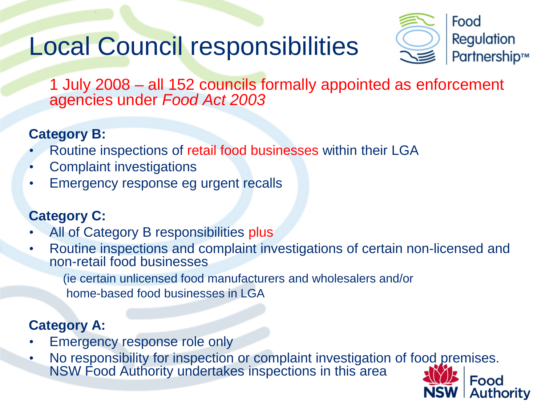## Local Council responsibilities



**Authority** 

1 July 2008 – all 152 councils formally appointed as enforcement agencies under *Food Act 2003*

### **Category B:**

- Routine inspections of retail food businesses within their LGA
- Complaint investigations
- Emergency response eg urgent recalls

### **Category C:**

- All of Category B responsibilities plus
- Routine inspections and complaint investigations of certain non-licensed and non-retail food businesses

(ie certain unlicensed food manufacturers and wholesalers and/or

home-based food businesses in LGA

### **Category A:**

- Emergency response role only
- No responsibility for inspection or complaint investigation of food premises. NSW Food Authority undertakes inspections in this areaFood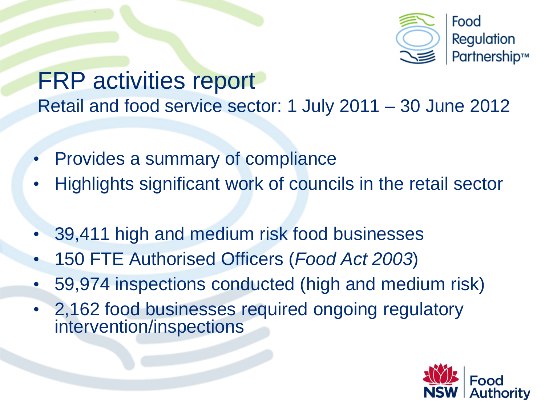

### FRP activities report Retail and food service sector: 1 July 2011 – 30 June 2012

- Provides a summary of compliance
- Highlights significant work of councils in the retail sector
- 39,411 high and medium risk food businesses
- 150 FTE Authorised Officers (*Food Act 2003*)
- 59,974 inspections conducted (high and medium risk)
- 2,162 food businesses required ongoing regulatory intervention/inspections

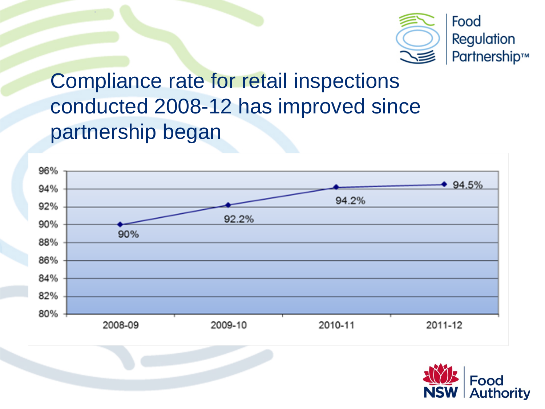

Compliance rate for retail inspections conducted 2008-12 has improved since partnership began



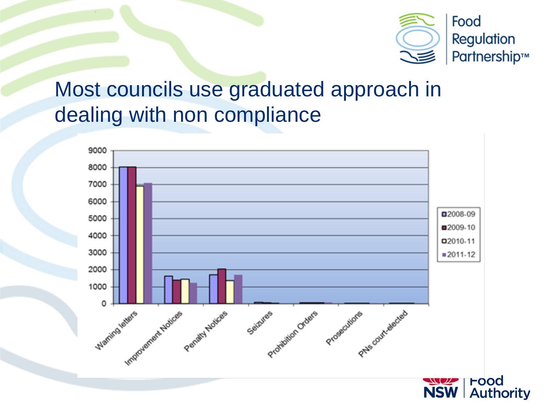

### Most councils use graduated approach in dealing with non compliance

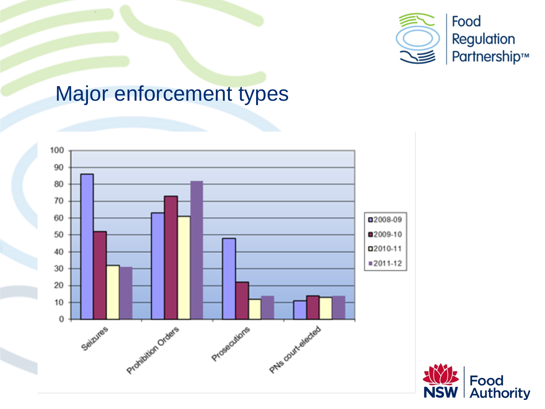

### Major enforcement types



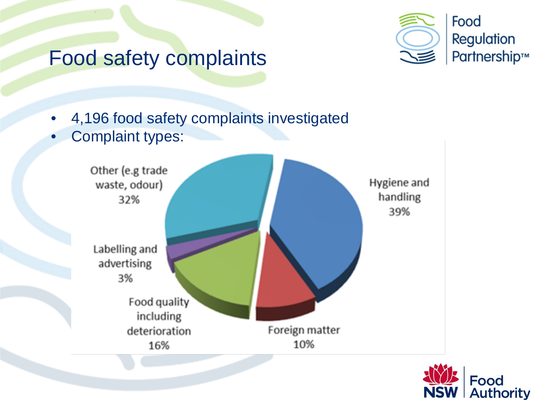### Food safety complaints



- 4,196 food safety complaints investigated
- Complaint types:



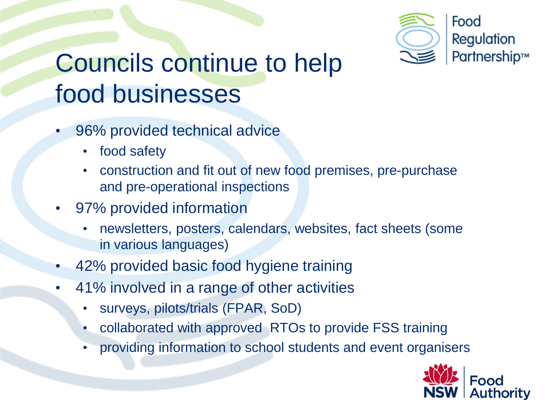

# Councils continue to help food businesses

- 96% provided technical advice
	- food safety
	- construction and fit out of new food premises, pre-purchase and pre-operational inspections
- 97% provided information
	- newsletters, posters, calendars, websites, fact sheets (some in various languages)
- 42% provided basic food hygiene training
- 41% involved in a range of other activities
	- surveys, pilots/trials (FPAR, SoD)
	- collaborated with approved RTOs to provide FSS training
	- providing information to school students and event organisers

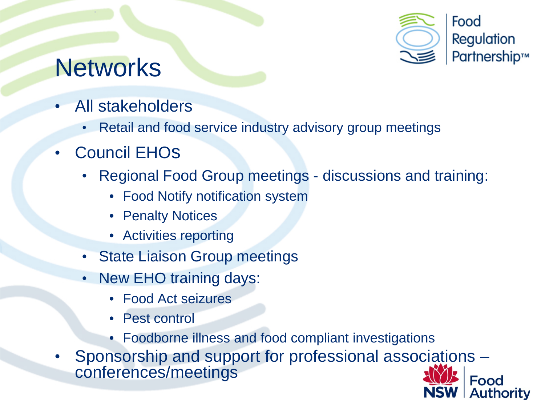

**Authority** 

### **Networks**

- All stakeholders
	- Retail and food service industry advisory group meetings
- **Council EHOS** 
	- Regional Food Group meetings discussions and training:
		- Food Notify notification system
		- Penalty Notices
		- Activities reporting
	- State Liaison Group meetings
	- New EHO training days:
		- Food Act seizures
		- Pest control
		- Foodborne illness and food compliant investigations
- Sponsorship and support for professional associations –<br>conferences/meetings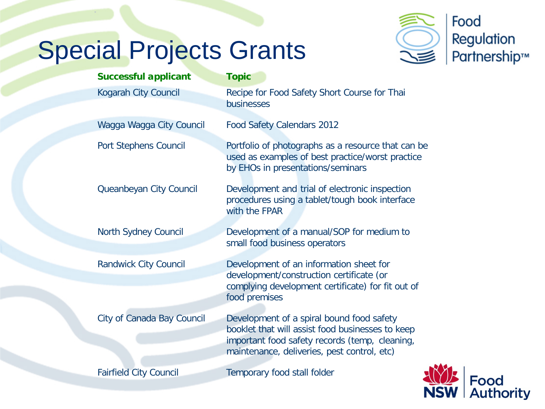# Special Projects Grants



| <b>Successful applicant</b>   | <b>Topic</b>                                                                                                                                                                                   |
|-------------------------------|------------------------------------------------------------------------------------------------------------------------------------------------------------------------------------------------|
| Kogarah City Council          | Recipe for Food Safety Short Course for Thai<br>businesses                                                                                                                                     |
|                               |                                                                                                                                                                                                |
| Wagga Wagga City Council      | <b>Food Safety Calendars 2012</b>                                                                                                                                                              |
| Port Stephens Council         | Portfolio of photographs as a resource that can be<br>used as examples of best practice/worst practice<br>by EHOs in presentations/seminars                                                    |
| Queanbeyan City Council       | Development and trial of electronic inspection<br>procedures using a tablet/tough book interface<br>with the FPAR                                                                              |
| <b>North Sydney Council</b>   | Development of a manual/SOP for medium to<br>small food business operators                                                                                                                     |
| <b>Randwick City Council</b>  | Development of an information sheet for<br>development/construction certificate (or                                                                                                            |
|                               | complying development certificate) for fit out of<br>food premises                                                                                                                             |
| City of Canada Bay Council    | Development of a spiral bound food safety<br>booklet that will assist food businesses to keep<br>important food safety records (temp, cleaning,<br>maintenance, deliveries, pest control, etc) |
| <b>Fairfield City Council</b> | Temporary food stall folder                                                                                                                                                                    |

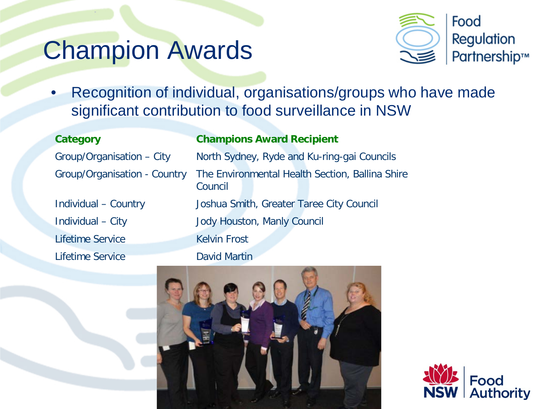### Champion Awards



• Recognition of individual, organisations/groups who have made significant contribution to food surveillance in NSW

Lifetime Service Lifetime Service

### **Category Champions Award Recipient**

Group/Organisation – City North Sydney, Ryde and Ku-ring-gai Councils Group/Organisation - Country The Environmental Health Section, Ballina Shire Council Individual – Country Joshua Smith, Greater Taree City Council Individual – City Jody Houston, Manly Council Kelvin Frost David Martin



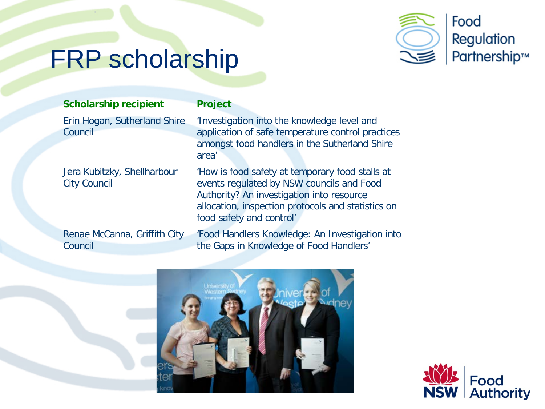

## FRP scholarship

### **Scholarship recipient Project**

Erin Hogan, Sutherland Shire Council

Jera Kubitzky, Shellharbour City Council

Renae McCanna, Griffith City Council

'Investigation into the knowledge level and application of safe temperature control practices amongst food handlers in the Sutherland Shire area'

'How is food safety at temporary food stalls at events regulated by NSW councils and Food Authority? An investigation into resource allocation, inspection protocols and statistics on food safety and control'

'Food Handlers Knowledge: An Investigation into the Gaps in Knowledge of Food Handlers'



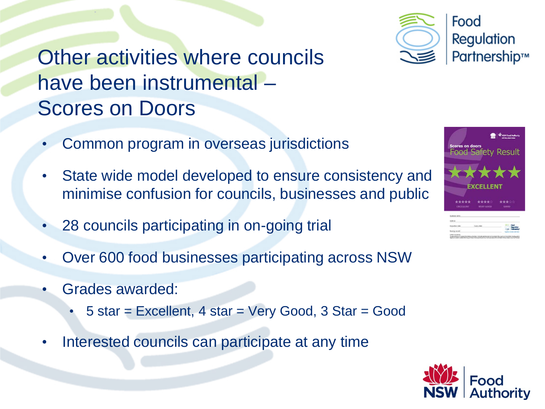### Other activities where councils have been instrumental – Scores on Doors

- Common program in overseas jurisdictions
- State wide model developed to ensure consistency and minimise confusion for councils, businesses and public
- 28 councils participating in on-going trial
- Over 600 food businesses participating across NSW
- Grades awarded:
	- 5 star = Excellent, 4 star = Very Good, 3 Star = Good
- Interested councils can participate at any time







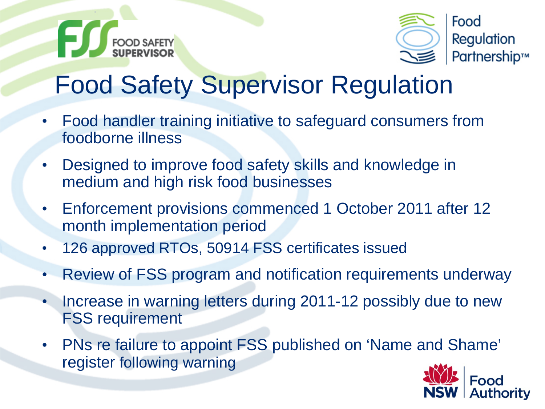



# Food Safety Supervisor Regulation

- Food handler training initiative to safeguard consumers from foodborne illness
- Designed to improve food safety skills and knowledge in medium and high risk food businesses
- Enforcement provisions commenced 1 October 2011 after 12 month implementation period
- 126 approved RTOs, 50914 FSS certificates issued
- Review of FSS program and notification requirements underway
- Increase in warning letters during 2011-12 possibly due to new FSS requirement
- PNs re failure to appoint FSS published on 'Name and Shame' register following warning

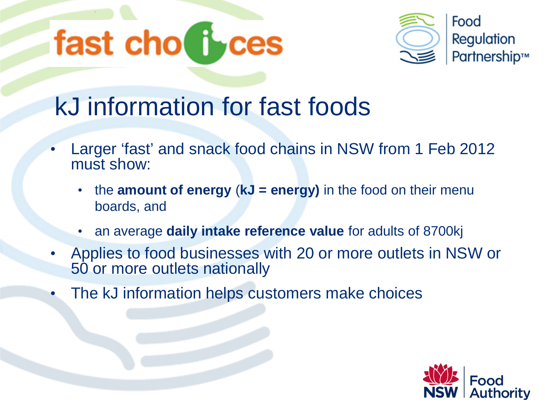



# kJ information for fast foods

- Larger 'fast' and snack food chains in NSW from 1 Feb 2012 must show:
	- the **amount of energy** (**kJ = energy)** in the food on their menu boards, and
	- an average **daily intake reference value** for adults of 8700kj
- Applies to food businesses with 20 or more outlets in NSW or 50 or more outlets nationally
- The kJ information helps customers make choices

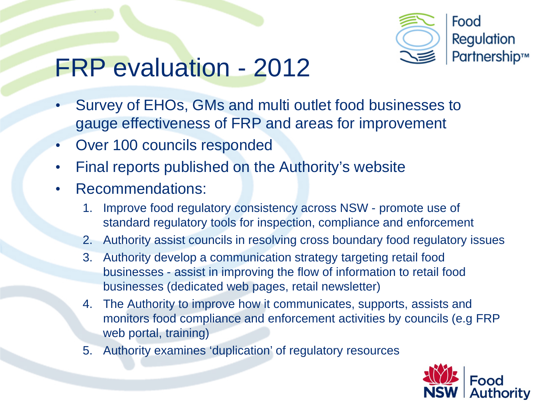

### FRP evaluation - 2012

- Survey of EHOs, GMs and multi outlet food businesses to gauge effectiveness of FRP and areas for improvement
- Over 100 councils responded
- Final reports published on the Authority's website
- Recommendations:
	- 1. Improve food regulatory consistency across NSW promote use of standard regulatory tools for inspection, compliance and enforcement
	- 2. Authority assist councils in resolving cross boundary food regulatory issues
	- 3. Authority develop a communication strategy targeting retail food businesses - assist in improving the flow of information to retail food businesses (dedicated web pages, retail newsletter)
	- 4. The Authority to improve how it communicates, supports, assists and monitors food compliance and enforcement activities by councils (e.g FRP web portal, training)
	- 5. Authority examines 'duplication' of regulatory resources

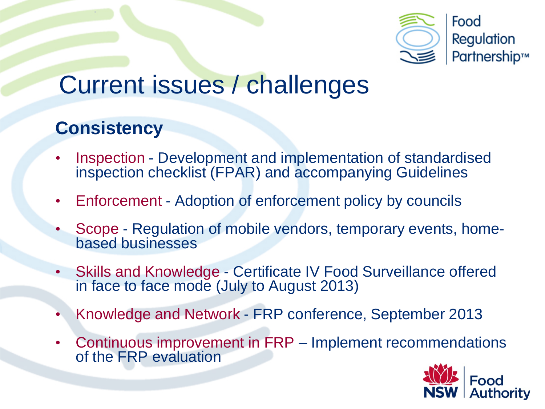

### Current issues / challenges

### **Consistency**

- Inspection Development and implementation of standardised inspection checklist (FPAR) and accompanying Guidelines
- Enforcement Adoption of enforcement policy by councils
- Scope Regulation of mobile vendors, temporary events, home- based businesses
- Skills and Knowledge Certificate IV Food Surveillance offered in face to face mode (July to August 2013)
- Knowledge and Network FRP conference, September 2013
- Continuous improvement in FRP Implement recommendations of the FRP evaluation

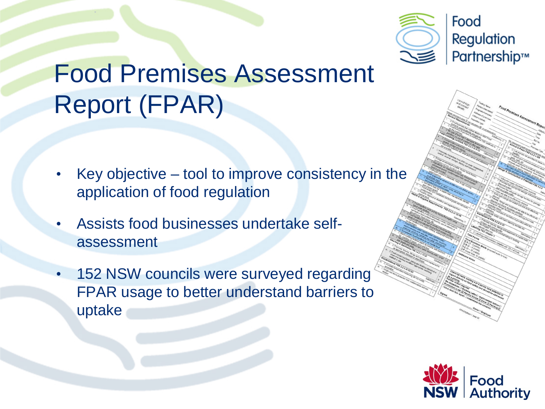

# Food Premises Assessment Report (FPAR)

- Key objective  $-$  tool to improve consistency in the application of food regulation
- Assists food businesses undertake selfassessment
- 152 NSW councils were surveyed regarding FPAR usage to better understand barriers to uptake

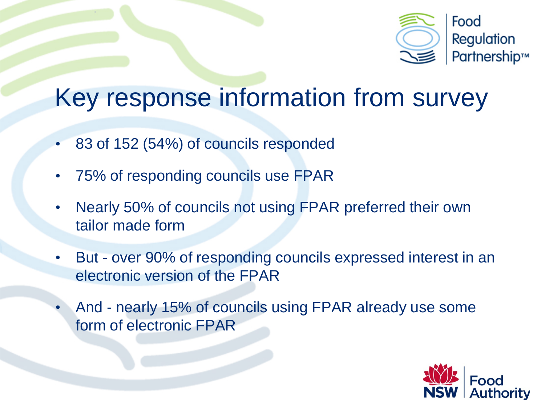

### Key response information from survey

- 83 of 152 (54%) of councils responded
- 75% of responding councils use FPAR
- Nearly 50% of councils not using FPAR preferred their own tailor made form
- But over 90% of responding councils expressed interest in an electronic version of the FPAR
- And nearly 15% of councils using FPAR already use some form of electronic FPAR

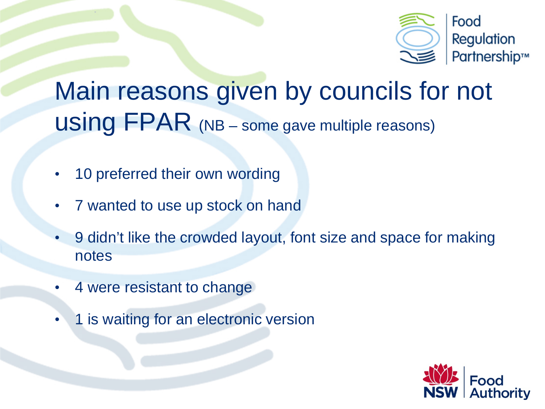

# Main reasons given by councils for not using FPAR (NB – some gave multiple reasons)

- 10 preferred their own wording
- 7 wanted to use up stock on hand
- 9 didn't like the crowded layout, font size and space for making notes
- 4 were resistant to change
- 1 is waiting for an electronic version

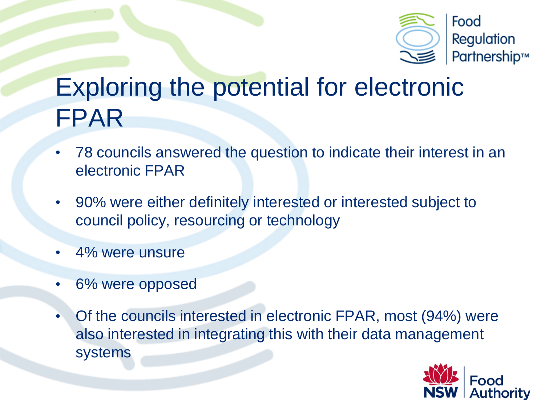

## Exploring the potential for electronic FPAR

- 78 councils answered the question to indicate their interest in an electronic FPAR
- 90% were either definitely interested or interested subject to council policy, resourcing or technology
- 4% were unsure
- 6% were opposed
- Of the councils interested in electronic FPAR, most (94%) were also interested in integrating this with their data management systems

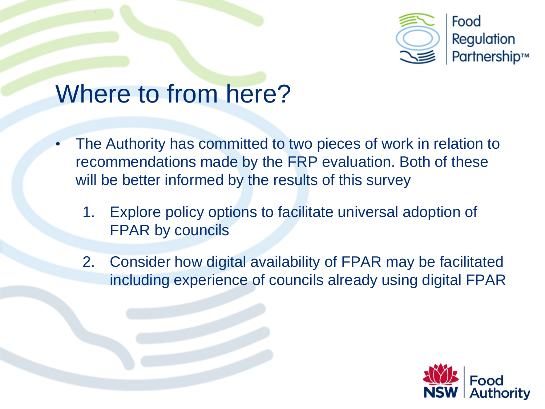

### Where to from here?

- The Authority has committed to two pieces of work in relation to recommendations made by the FRP evaluation. Both of these will be better informed by the results of this survey
	- 1. Explore policy options to facilitate universal adoption of FPAR by councils
	- 2. Consider how digital availability of FPAR may be facilitated including experience of councils already using digital FPAR